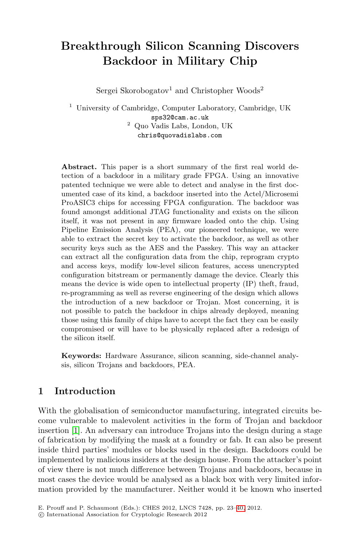# **Breakthrough Silicon Scanning Discovers Backdoor in Military Chip**

Sergei Skorobogatov<sup>1</sup> and Christopher Woods<sup>2</sup>

<sup>1</sup> University of Cambridge, Computer Laboratory, Cambridge, UK sps32@cam.ac.uk  $^2\,$  Quo Vadis Labs, London, UK chris@quovadislabs.com

Abstract. This paper is a short summary of the first real world detection of a backdoor in a military grade FPGA. Using an innovative patented technique we were able to detect and analyse in the first documented case of its kind, a backdoor inserted into the Actel/Microsemi ProASIC3 chips for accessing FPGA configuration. The backdoor was found amongst additional JTAG functionality and exists on the silicon itself, it was not present in any firmware loaded onto the chip. Using Pipeline Emission Analysis (PEA), our pioneered technique, we were able to extract the secret key to activate the backdoor, as well as other security keys such as the AES and the Passkey. This way an attacker can extract all the configuration data from the chip, reprogram crypto and access keys, modify low-level silicon features, access unencrypted configuration bitstream or permanently damage the device. Clearly this means the device is wide open to intellectual property (IP) theft, fraud, re-programming as well as reverse engineering of the design which allows the introduction of a new backdoor or Trojan. Most concerning, it is not possible to patch the backdoor in chips already deployed, meaning those using this family of chips have to accept the fact they can be easily compromised or will have to be physically replaced after a redesign of the silicon itself.

**Keywords:** Hardware Assurance, silicon scanning, side-channel analysis, silicon Trojans and backdoors, PEA.

## **1 Introduction**

With the globalisation of semiconductor manufacturing, integrated circuits become vulnerable to malevolent activities in the form of Trojan and backdoor insertion [1]. An adversary can introd[uce](#page-17-0) Trojans into the design during a stage of fabrication by modifying the mask at a foundry or fab. It can also be present inside third parties' modules or blocks used in the design. Backdoors could be implemented by malicious insiders at the design house. From the attacker's point of view there is not much difference between Trojans and backdoors, because in most cases the device would be analysed as a black box with very limited information provided by the manufacturer. Neither would it be known who inserted

E. Prouff and P. Schaumont (Eds.): CHES 2012, LNCS 7428, pp. 23–40, 2012.

<sup>-</sup>c International Association for Cryptologic Research 2012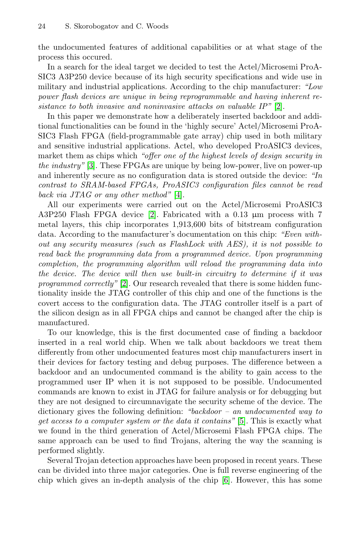the undocumented features of additional capabilities or at what stage of the process this occured.

In a search for the ideal target we decided to test the Actel/Microsemi ProA-SIC3 A3P250 device because of its high security specifications and wide use in military and industrial applications. According to the chip manufacturer: *"Low power flash devices are unique in being reprogrammable and having inherent resistance to both invasive and noninvasive attacks on valuable IP"* [2].

In this paper we [dem](#page-15-0)onstrate how a deliberately inserted backdoor and additional functionalities can be found in the 'highly secure' Actel/Microsemi ProA-SIC3 Flash [FP](#page-15-1)GA (field-programmable gate array) chip used in both military and sensitive industrial applications. Actel, who developed ProASIC3 devices, market them as chips which *"offer one of the highest levels of design security in the industry"* [3]. These FPGAs are unique by being low-power, live on power-up and inherently secure as no configuration data is stored outside the device: *"In contrast to SRAM-based FPGAs, ProASIC3 configuration files cannot be read back via JTAG or any other method"* [4].

Al[l o](#page-15-1)ur experiments were carried out on the Actel/Microsemi ProASIC3 A3P250 Flash FPGA device [2]. Fabricated with a 0.13  $\mu$ m process with 7 metal layers, this chip incorporates 1,913,600 bits of bitstream configuration data. According to the manufacturer's documentation on this chip: *"Even without any security measures (such as FlashLock with AES), it is not possible to read back the programming data from a programmed device. Upon programming completion, the programming algorithm will reload the programming data into the device. The device will then use built-in circuitry to determine if it was programmed correctly"* [2]. Our research revealed that there is some hidden functionality inside the JTAG controller of this chip and one of the functions is the covert access to the configuration data. The JTAG controller itself is a part of the silicon design as in all FPGA chips and cannot be changed after the chip is manufactured.

To our knowledge, this is the first documented case of finding a backdoor inserted in a real world chip. When [we](#page-16-0) talk about backdoors we treat them differently from other undocumented features most chip manufacturers insert in their devices for factory testing and debug purposes. The difference between a backdoor and an undocumented command is the ability to gain access to the programmed user IP when it is not supposed to be possible. Undocumented commands are known to exist in JTAG for failure analysis or for debugging but they are not designed to circumn[avi](#page-16-1)gate the security scheme of the device. The dictionary gives the following definition: *"backdoor – an undocumented way to get access to a computer system or the data it contains"* [5]. This is exactly what we found in the third generation of Actel/Microsemi Flash FPGA chips. The same approach can be used to find Trojans, altering the way the scanning is performed slightly.

Several Trojan detection approaches have been proposed in recent years. These can be divided into three major categories. One is full reverse engineering of the chip which gives an in-depth analysis of the chip [6]. However, this has some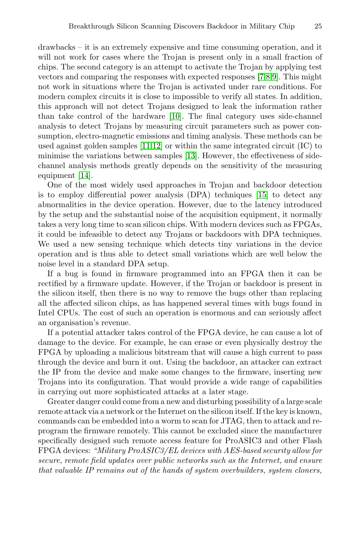drawbacks – it is a[n](#page-16-2) [ex](#page-16-2)tremely expensive and time consuming operation, and it will not work for cases where the Trojan is present only in a small fraction of chips. The [sec](#page-16-3)[ond](#page-16-4) category is an attempt to activate the Trojan by applying test vectors and comparing [the](#page-16-5) responses with expected responses [7,8,9]. This might not work in situations where the Trojan is activated under rare conditions. For modern complex circuits it is close to impossible to verify all states. In addition, this approach will not detect Trojans designed to leak the information rather than take control of the hardware [10]. [The](#page-16-6) final category uses side-channel analysis to detect Trojans by measuring circuit parameters such as power consumption, electro-magnetic emissions and timing analysis. These methods can be used against golden samples  $[11,12]$  or within the same integrated circuit (IC) to minimise the variations between samples [13]. However, the effectiveness of sidechannel analysis methods greatly depends on the sensitivity of the measuring equipment [14].

One of the most widely used approaches in Trojan and backdoor detection is to employ differential power analysis (DPA) techniques [15] to detect any abnormalities in the device operation. However, due to the latency introduced by the setup and the substantial noise of the acquisition equipment, it normally takes a very long time to scan silicon chips. With modern devices such as FPGAs, it could be infeasible to detect any Trojans or backdoors with DPA techniques. We used a new sensing technique which detects tiny variations in the device operation and is thus able to detect small variations which are well below the noise level in a standard DPA setup.

If a bug is found in firmware programmed into an FPGA then it can be rectified by a firmware update. However, if the Trojan or backdoor is present in the silicon itself, then there is no way to remove the bugs other than replacing all the affected silicon chips, as has happened several times with bugs found in Intel CPUs. The cost of such an operation is enormous and can seriously affect an organisation's revenue.

If a potential attacker takes control of the FPGA device, he can cause a lot of damage to the device. For example, he can erase or even physically destroy the FPGA by uploading a malicious bitstream that will cause a high current to pass through the device and burn it out. Using the backdoor, an attacker can extract the IP from the device and make some changes to the firmware, inserting new Trojans into its configuration. That would provide a wide range of capabilities in carrying out more sophisticated attacks at a later stage.

Greater danger could come from a new and disturbing possibility of a large scale remote attack via a network or the Internet on the silicon itself. If the key is known, commands can be embedded into a worm to scan for JTAG, then to attack and reprogram the firmware remotely. This cannot be excluded since the manufacturer specifically designed such remote access feature for ProASIC3 and other Flash FPGA devices: *"Military ProASIC3/EL devices with AES-based security allow for secure, remote field updates over public networks such as the Internet, and ensure that valuable IP remains out of the hands of system overbuilders, system cloners,*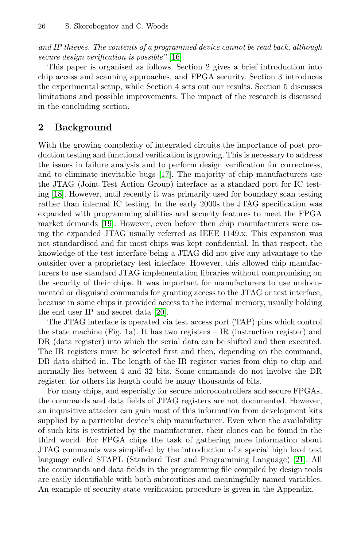*and IP thieves. The contents of a programmed device cannot be read back, although secure design verification is possible"* [16].

This paper is organised as follows. Section 2 gives a brief introduction into chip access and scanning approaches, and FPGA security. Section 3 introduces the experimental setup, while Section 4 sets out our results. Section 5 discusses limitations and [pos](#page-16-7)sible improvements. The impact of the research is discussed in the concluding section.

### **2 Background**

[Wi](#page-16-8)th the growing complexity of integrated circuits the importance of post production testing and functional verification is growing. This is necessary to address the issues in failure analysis and to perform design verification for correctness, and to eliminate inevitable bugs [17]. The majority of chip manufacturers use the JTAG (Joint Test Action Group) interface as a standard port for IC testing [18]. However, until recently it was primarily used for boundary scan testing rather than internal IC testing. In the early 2000s the JTAG specification was expanded with programming abilities and security features to meet the FPGA market demands [19]. However, even before then chip manufacturers were using the expan[ded](#page-16-9) JTAG usually referred as IEEE 1149.x. This expansion was not standardised and for most chips was kept confidential. In that respect, the knowledge of the test interface being a JTAG did not give any advantage to the outsider over a proprietary test interface. However, this allowed chip manufacturers to use standard JTAG implementation libraries without compromising on the security of their chips. It was important for manufacturers to use undocumented or disguised commands for granting access to the JTAG or test interface, because in some chips it provided access to the internal memory, usually holding the end user IP and secret data [20].

The JTAG interface is operated via test access port (TAP) pins which control the state machine (Fig. 1a). It has two registers – IR (instruction register) and DR (data register) into which the serial data can be shifted and then executed. The IR registers must be selected first and then, depending on the command, DR data shifted in. The length of the IR register varies from chip to chip and normally lies between 4 and 32 bits. Some commands do not involve the DR register, for others its length could be many thousan[ds o](#page-16-10)f bits.

For many chips, and especially for secure microcontrollers and secure FPGAs, the commands and data fields of JTAG registers are not documented. However, an inquisitive attacker can gain most of this information from development kits supplied by a particular device's chip manufacturer. Even when the availability of such kits is restricted by the manufacturer, their clones can be found in the third world. For FPGA chips the task of gathering more information about JTAG commands was simplified by the introduction of a special high level test language called STAPL (Standard Test and Programming Language) [21]. All the commands and data fields in the programming file compiled by design tools are easily identifiable with both subroutines and meaningfully named variables. An example of security state verification procedure is given in the Appendix.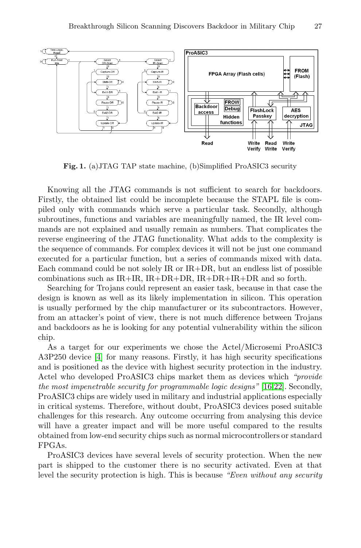

**Fig. 1.** (a)JTAG TAP state machine, (b)Simplified ProASIC3 security

Knowing all the JTAG commands is not sufficient to search for backdoors. Firstly, the obtained list could be incomplete because the STAPL file is compiled only with commands which serve a particular task. Secondly, although subroutines, functions and variables are meaningfully named, the IR level commands are not explained and usually remain as numbers. That complicates the reverse engineering of the JTAG functionality. What adds to the complexity is the sequence of commands. For complex devices it will not be just one command executed for a particular function, but a series of commands mixed with data. Each command could be not solely IR or IR+DR, but an endless list of possible combinations such as IR+IR, IR+DR+DR, IR+DR+IR+DR and so forth.

Searching for Trojans could represent an easier task, because in that case the design is known as well as its likely implementation in silicon. This operation is usually performed by the chip manufactu[rer](#page-16-11) [or](#page-16-12) its subcontractors. However, from an attacker's point of view, there is not much difference between Trojans and backdoors as he is looking for any potential vulnerability within the silicon chip.

As a target for our experiments we chose the Actel/Microsemi ProASIC3 A3P250 device [4] for many reasons. Firstly, it has high security specifications and is positioned as the device with highest security protection in the industry. Actel who developed ProASIC3 chips market them as devices which *"provide the most impenetrable security for programmable logic designs"* [16,22]. Secondly, ProASIC3 chips are widely used in military and industrial applications especially in critical systems. Therefore, without doubt, ProASIC3 devices posed suitable challenges for this research. Any outcome occurring from analysing this device will have a greater impact and will be more useful compared to the results obtained from low-end security chips such as normal microcontrollers or standard FPGAs.

ProASIC3 devices have several levels of security protection. When the new part is shipped to the customer there is no security activated. Even at that level the security protection is high. This is because *"Even without any security*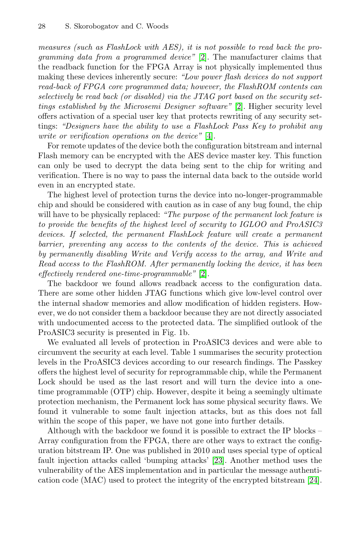*measures (such as FlashLock with AES), it is not possible to read back the programming data from a progr[am](#page-15-0)med device"* [2]. The manufacturer claims that the readback function for the FPGA Array is not physically implemented thus making these devices inherently secure: *"Low power flash devices do not support read-back of FPGA core programmed data; however, the FlashROM contents can selectively be read back (or disabled) via the JTAG port based on the security settings established by the Microsemi Designer software"* [2]. Higher security level offers activation of a special user key that protects rewriting of any security settings: *"Designers have the ability to use a FlashLock Pass Key to prohibit any write or verification operations on the device"* [4].

For remote updates of the device both the configuration bitstream and internal Flash memory can be encrypted with the AES device master key. This function can only be used to decrypt the data being sent to the chip for writing and verification. There is no way to pass the internal data back to the outside world even in an encrypted state.

The highest level of prot[ect](#page-15-1)ion turns the device into no-longer-programmable chip and should be considered with caution as in case of any bug found, the chip will have to be physically replaced: *"The purpose of the permanent lock feature is to provide the benefits of the highest level of security to IGLOO and ProASIC3 devices. If selected, the permanent FlashLock feature will create a permanent barrier, preventing any access to the contents of the device. This is achieved by permanently disabling Write and Verify access to the array, and Write and Read access to the FlashROM. After permanently locking the device, it has been effectively rendered one-time-programmable"* [2].

The backdoor we found allows readback access to the configuration data. There are some other hidden JTAG functions which give low-level control over the internal shadow memories and allow modification of hidden registers. However, we do not consider them a backdoor because they are not directly associated with undocumented access to the protected data. The simplified outlook of the ProASIC3 security is presented in Fig. 1b.

We evaluated all levels of protection in ProASIC3 devices and were able to circumvent the security at each level. Table 1 summarises the security protection levels in the ProASIC3 devices according to our research findings. The Passkey offers the highest level of security for reprogrammable chip, while the Permanent Lock should be used as the l[ast](#page-16-13) resort and will turn the device into a onetime programmable (OTP) chip. However, despite it being a seemingly ultimate protection mechanism, the Permanent lock has some phys[ical](#page-16-14) security flaws. We found it vulnerable to some fault injection attacks, but as this does not fall within the scope of this paper, we have not gone into further details.

Although with the backdoor we found it is possible to extract the IP blocks – Array configuration from the FPGA, there are other ways to extract the configuration bitstream IP. One was published in 2010 and uses special type of optical fault injection attacks called 'bumping attacks' [23]. Another method uses the vulnerability of the AES implementation and in particular the message authentication code (MAC) used to protect the integrity of the encrypted bitstream [24].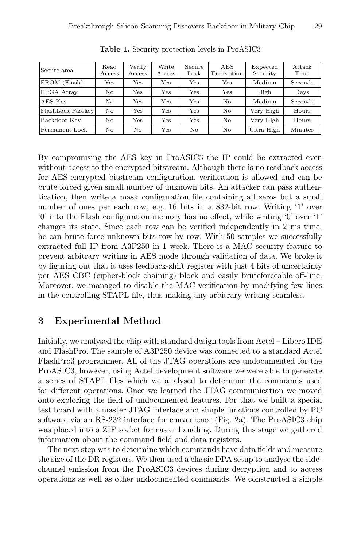| Secure area       | Read<br>$\rm Access$ | Verify<br>Access | Write<br>Access | Secure<br>$_{\rm Lock}$ | AES<br>Encryption | Expected<br>Security | Attack<br>Time |
|-------------------|----------------------|------------------|-----------------|-------------------------|-------------------|----------------------|----------------|
| FROM (Flash)      | Yes                  | Yes              | $_{\rm Yes}$    | Yes                     | Yes               | Medium               | Seconds        |
| FPGA Array        | No                   | Yes              | $_{\rm Yes}$    | Yes                     | Yes               | High                 | Days           |
| AES Key           | No                   | $_{\rm Yes}$     | Yes             | Yes                     | No                | Medium               | Seconds        |
| FlashLock Passkey | No                   | Yes              | $_{\rm Yes}$    | Yes                     | No                | Very High            | Hours          |
| Backdoor Key      | No                   | Yes              | $_{\rm Yes}$    | Yes                     | No                | Very High            | Hours          |
| Permanent Lock    | No                   | No               | $_{\rm Yes}$    | No                      | No                | Ultra High           | Minutes        |

**Table 1.** Security protection levels in ProASIC3

By compromising the AES key in ProASIC3 the IP could be extracted even without access to the encrypted bitstream. Although there is no readback access for AES-encrypted bitstream configuration, verification is allowed and can be brute forced given small number of unknown bits. An attacker can pass authentication, then write a mask configuration file containing all zeros but a small number of ones per each row, e.g. 16 bits in a 832-bit row. Writing '1' over '0' into the Flash configuration memory has no effect, while writing '0' over '1' changes its state. Since each row can be verified independently in 2 ms time, he can brute force unknown bits row by row. With 50 samples we successfully extracted full IP from A3P250 in 1 week. There is a MAC security feature to prevent arbitrary writing in AES mode through validation of data. We broke it by figuring out that it uses feedback-shift register with just 4 bits of uncertainty per AES CBC (cipher-block chaining) block and easily bruteforceable off-line. Moreover, we managed to disable the MAC verification by modifying few lines in the controlling STAPL file, thus making any arbitrary writing seamless.

### **3 Experimental Method**

Initially, we analysed the chip with standard design tools from Actel – Libero IDE and FlashPro. The sample of A3P250 device was connected to a standard Actel FlashPro3 programmer. All of the JTAG operations are undocumented for the ProASIC3, however, using Actel development software we were able to generate a series of STAPL files which we analysed to determine the commands used for different operations. Once we learned the JTAG communication we moved onto exploring the field of undocumented features. For that we built a special test board with a master JTAG interface and simple functions controlled by PC software via an RS-232 interface for convenience (Fig. 2a). The ProASIC3 chip was placed into a ZIF socket for easier handling. During this stage we gathered information about the command field and data registers.

The next step was to determine which commands have data fields and measure the size of the DR registers. We then used a classic DPA setup to analyse the sidechannel emission from the ProASIC3 devices during decryption and to access operations as well as other undocumented commands. We constructed a simple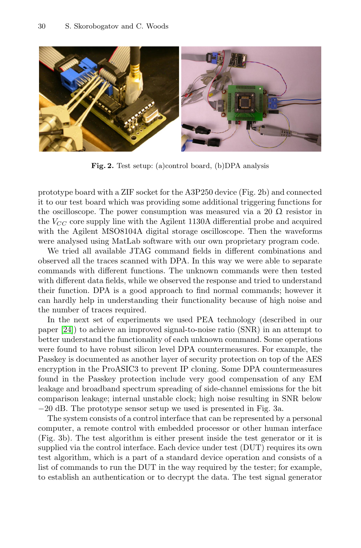

**Fig. 2.** Test setup: (a)control board, (b)DPA analysis

prototype board with a ZIF socket for the A3P250 device (Fig. 2b) and connected it to our test board which was providing some additional triggering functions for the oscilloscope. The power consumption was measured via a 20  $\Omega$  resistor in the *VCC* core supply line with the Agilent 1130A differential probe and acquired with the Agilent MSO8104A digital storage oscilloscope. Then the waveforms were analysed using MatLab software with our own proprietary program code.

We tried all available JTAG command fields in different combinations and observed all the traces scanned with DPA. In this way we were able to separate commands with different functions. The unknown commands were then tested with different data fields, while we observed the response and tried to understand their function. DPA is a good approach to find normal commands; however it can hardly help in understanding their functionality because of high noise and the number of traces required.

In the next set of experiments we used PEA technology (described in our paper [24]) to achieve an improved signal-to-noise ratio (SNR) in an attempt to better understand the functionality of each unknown command. Some operations were found to have robust silicon level DPA countermeasures. For example, the Passkey is documented as another layer of security protection on top of the AES encryption in the ProASIC3 to prevent IP cloning. Some DPA countermeasures found in the Passkey protection include very good compensation of any EM leakage and broadband spectrum spreading of side-channel emissions for the bit comparison leakage; internal unstable clock; high noise resulting in SNR below *−*20 dB. The prototype sensor setup we used is presented in Fig. 3a.

The system consists of a control interface that can be represented by a personal computer, a remote control with embedded processor or other human interface (Fig. 3b). The test algorithm is either present inside the test generator or it is supplied via the control interface. Each device under test (DUT) requires its own test algorithm, which is a part of a standard device operation and consists of a list of commands to run the DUT in the way required by the tester; for example, to establish an authentication or to decrypt the data. The test signal generator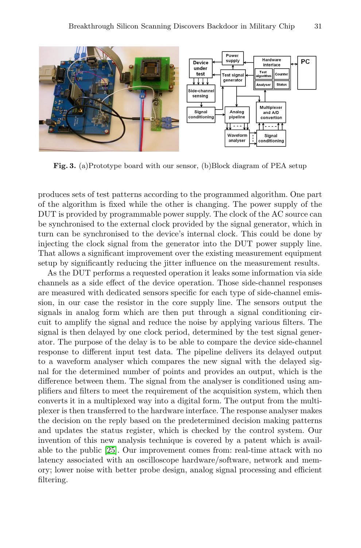

**Fig. 3.** (a)Prototype board with our sensor, (b)Block diagram of PEA setup

produces sets of test patterns according to the programmed algorithm. One part of the algorithm is fixed while the other is changing. The power supply of the DUT is provided by programmable power supply. The clock of the AC source can be synchronised to the external clock provided by the signal generator, which in turn can be synchronised to the device's internal clock. This could be done by injecting the clock signal from the generator into the DUT power supply line. That allows a significant improvement over the existing measurement equipment setup by significantly reducing the jitter influence on the measurement results.

As the DUT performs a requested operation it leaks some information via side channels as a side effect of the device operation. Those side-channel responses are measured with dedicated sensors specific for each type of side-channel emission, in our case the resistor in the core supply line. The sensors output the signals in analog form which are then put through a signal conditioning circuit to amplify the signal and reduce the noise by applying various filters. The signal is then delayed by one clock period, determined by the test signal generator. The purpose of the delay is to be able to compare the device side-channel response to different input test data. The pipeline delivers its delayed output to a waveform analyser which compares the new signal with the delayed sig[nal](#page-16-15) for the determined number of points and provides an output, which is the difference between them. The signal from the analyser is conditioned using amplifiers and filters to meet the requirement of the acquisition system, which then converts it in a multiplexed way into a digital form. The output from the multiplexer is then transferred to the hardware interface. The response analyser makes the decision on the reply based on the predetermined decision making patterns and updates the status register, which is checked by the control system. Our invention of this new analysis technique is covered by a patent which is available to the public [25]. Our improvement comes from: real-time attack with no latency associated with an oscilloscope hardware/software, network and memory; lower noise with better probe design, analog signal processing and efficient filtering.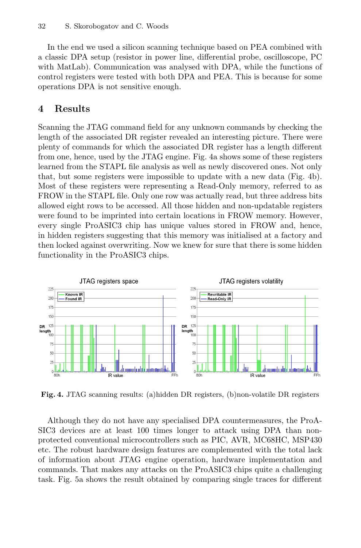In the end we used a silicon scanning technique based on PEA combined with a classic DPA setup (resistor in power line, differential probe, oscilloscope, PC with MatLab). Communication was analysed with DPA, while the functions of control registers were tested with both DPA and PEA. This is because for some operations DPA is not sensitive enough.

## **4 Results**

Scanning the JTAG command field for any unknown commands by checking the length of the associated DR register revealed an interesting picture. There were plenty of commands for which the associated DR register has a length different from one, hence, used by the JTAG engine. Fig. 4a shows some of these registers learned from the STAPL file analysis as well as newly discovered ones. Not only that, but some registers were impossible to update with a new data (Fig. 4b). Most of these registers were representing a Read-Only memory, referred to as FROW in the STAPL file. Only one row was actually read, but three address bits allowed eight rows to be accessed. All those hidden and non-updatable registers were found to be imprinted into certain locations in FROW memory. However, every single ProASIC3 chip has unique values stored in FROW and, hence, in hidden registers suggesting that this memory was initialised at a factory and then locked against overwriting. Now we knew for sure that there is some hidden functionality in the ProASIC3 chips.



**Fig. 4.** JTAG scanning results: (a)hidden DR registers, (b)non-volatile DR registers

Although they do not have any specialised DPA countermeasures, the ProA-SIC3 devices are at least 100 times longer to attack using DPA than nonprotected conventional microcontrollers such as PIC, AVR, MC68HC, MSP430 etc. The robust hardware design features are complemented with the total lack of information about JTAG engine operation, hardware implementation and commands. That makes any attacks on the ProASIC3 chips quite a challenging task. Fig. 5a shows the result obtained by comparing single traces for different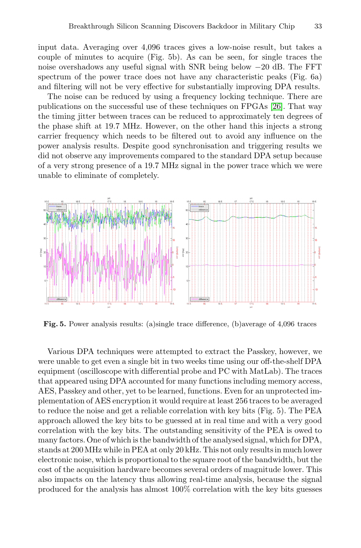input data. Averaging over 4,096 traces gives a low-noise result, but takes a couple of minutes to acquire (Fig. 5b). As can be seen, for single traces the noise overshadows any useful signal with SNR being below *−*20 dB. The FFT spectrum of the power trace does not have any characteristic peaks (Fig. 6a) and filtering will not be very effective for substantially improving DPA results.

The noise can be reduced by using a frequency locking technique. There are publications on the successful use of these techniques on FPGAs [26]. That way the timing jitter between traces can be reduced to approximately ten degrees of the phase shift at 19.7 MHz. However, on the other hand this injects a strong carrier frequency which needs to be filtered out to avoid any influence on the power analysis results. Despite good synchronisation and triggering results we did not observe any improvements compared to the standard DPA setup because of a very strong presence of a 19.7 MHz signal in the power trace which we were unable to eliminate of completely.



**Fig. 5.** Power analysis results: (a)single trace difference, (b)average of 4,096 traces

Various DPA techniques were attempted to extract the Passkey, however, we were unable to get even a single bit in two weeks time using our off-the-shelf DPA equipment (oscilloscope with differential probe and PC with MatLab). The traces that appeared using DPA accounted for many functions including memory access, AES, Passkey and other, yet to be learned, functions. Even for an unprotected implementation of AES encryption it would require at least 256 traces to be averaged to reduce the noise and get a reliable correlation with key bits (Fig. 5). The PEA approach allowed the key bits to be guessed at in real time and with a very good correlation with the key bits. The outstanding sensitivity of the PEA is owed to many factors. One of which is the bandwidth of the analysed signal, which for DPA, stands at 200MHz while in PEA at only 20 kHz. This not only results in much lower electronic noise, which is proportional to the square root of the bandwidth, but the cost of the acquisition hardware becomes several orders of magnitude lower. This also impacts on the latency thus allowing real-time analysis, because the signal produced for the analysis has almost 100% correlation with the key bits guesses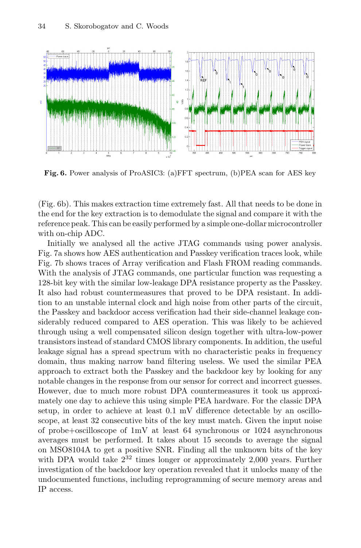

**Fig. 6.** Power analysis of ProASIC3: (a)FFT spectrum, (b)PEA scan for AES key

(Fig. 6b). This makes extraction time extremely fast. All that needs to be done in the end for the key extraction is to demodulate the signal and compare it with the reference peak. This can be easily performed by a simple one-dollar microcontroller with on-chip ADC.

Initially we analysed all the active JTAG commands using power analysis. Fig. 7a shows how AES authentication and Passkey verification traces look, while Fig. 7b shows traces of Array verification and Flash FROM reading commands. With the analysis of JTAG commands, one particular function was requesting a 128-bit key with the similar low-leakage DPA resistance property as the Passkey. It also had robust countermeasures that proved to be DPA resistant. In addition to an unstable internal clock and high noise from other parts of the circuit, the Passkey and backdoor access verification had their side-channel leakage considerably reduced compared to AES operation. This was likely to be achieved through using a well compensated silicon design together with ultra-low-power transistors instead of standard CMOS library components. In addition, the useful leakage signal has a spread spectrum with no characteristic peaks in frequency domain, thus making narrow band filtering useless. We used the similar PEA approach to extract both the Passkey and the backdoor key by looking for any notable changes in the response from our sensor for correct and incorrect guesses. However, due to much more robust DPA countermeasures it took us approximately one day to achieve this using simple PEA hardware. For the classic DPA setup, in order to achieve at least 0.1 mV difference detectable by an oscilloscope, at least 32 consecutive bits of the key must match. Given the input noise of probe+oscilloscope of 1mV at least 64 synchronous or 1024 asynchronous averages must be performed. It takes about 15 seconds to average the signal on MSO8104A to get a positive SNR. Finding all the unknown bits of the key with DPA would take  $2^{32}$  times longer or approximately 2,000 years. Further investigation of the backdoor key operation revealed that it unlocks many of the undocumented functions, including reprogramming of secure memory areas and IP access.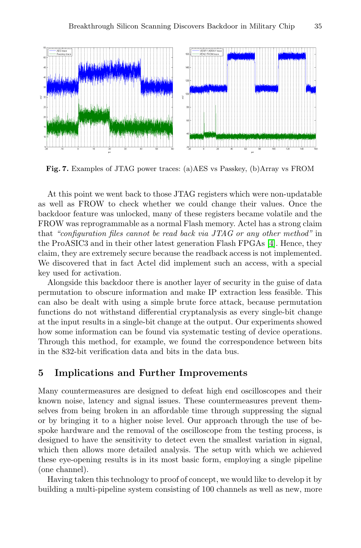

**Fig. 7.** Examples of JTAG power traces: (a)AE[S](#page-15-0) vs Passkey, (b)Array vs FROM

At this point we went back to those JTAG registers which were non-updatable as well as FROW to check whether we could change their values. Once the backdoor feature was unlocked, many of these registers became volatile and the FROW was reprogrammable as a normal Flash memory. Actel has a strong claim that *"configuration files cannot be read back via JTAG or any other method"* in the ProASIC3 and in their other latest generation Flash FPGAs [4]. Hence, they claim, they are extremely secure because the readback access is not implemented. We discovered that in fact Actel did implement such an access, with a special key used for activation.

Alongside this backdoor there is another layer of security in the guise of data permutation to obscure information and make IP extraction less feasible. This can also be dealt with using a simple brute force attack, because permutation functions do not withstand differential cryptanalysis as every single-bit change at the input results in a single-bit change at the output. Our experiments showed how some information can be found via systematic testing of device operations. Through this method, for example, we found the correspondence between bits in the 832-bit verification data and bits in the data bus.

### **5 Implications and Further Improvements**

Many countermeasures are designed to defeat high end oscilloscopes and their known noise, latency and signal issues. These countermeasures prevent themselves from being broken in an affordable time through suppressing the signal or by bringing it to a higher noise level. Our approach through the use of bespoke hardware and the removal of the oscilloscope from the testing process, is designed to have the sensitivity to detect even the smallest variation in signal, which then allows more detailed analysis. The setup with which we achieved these eye-opening results is in its most basic form, employing a single pipeline (one channel).

Having taken this technology to proof of concept, we would like to develop it by building a multi-pipeline system consisting of 100 channels as well as new, more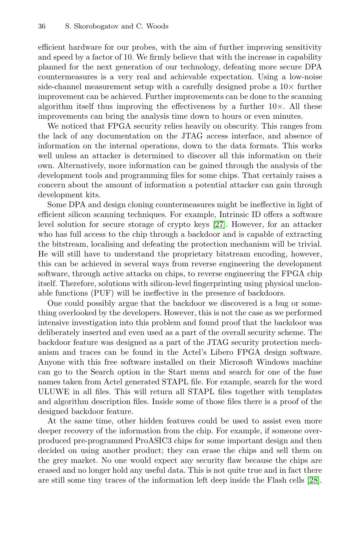efficient hardware for our probes, with the aim of further improving sensitivity and speed by a factor of 10. We firmly believe that with the increase in capability planned for the next generation of our technology, defeating more secure DPA countermeasures is a very real and achievable expectation. Using a low-noise side-channel measurement setup with a carefully designed probe a 10*×* further improvement can be achieved. Further improvements can be done to the scanning algorithm itself thus improving the effectiveness by a further 10*×*. All these improvements can bring the analysis time down to hours or even minutes.

We noticed that FPGA security relies heavily on obscurity. This ranges from the lack of any documentation on the JTAG access interface, and absence of information on the internal op[era](#page-17-2)tions, down to the data formats. This works well unless an attacker is determined to discover all this information on their own. Alternatively, more information can be gained through the analysis of the development tools and programming files for some chips. That certainly raises a concern about the amount of information a potential attacker can gain through development kits.

Some DPA and design cloning countermeasures might be ineffective in light of efficient silicon scanning techniques. For example, Intrinsic ID offers a software level solution for secure storage of crypto keys [27]. However, for an attacker who has full access to the chip through a backdoor and is capable of extracting the bitstream, localising and defeating the protection mechanism will be trivial. He will still have to understand the proprietary bitstream encoding, however, this can be achieved in several ways from reverse engineering the development software, through active attacks on chips, to reverse engineering the FPGA chip itself. Therefore, solutions with silicon-level fingerprinting using physical unclonable functions (PUF) will be ineffective in the presence of backdoors.

One could possibly argue that the backdoor we discovered is a bug or something overlooked by the developers. However, this is not the case as we performed intensive investigation into this problem and found proof that the backdoor was deliberately inserted and even used as a part of the overall security scheme. The backdoor feature was designed as a part of the JTAG security protection mechanism and traces can be found in the Actel's Libero FPGA design software. Anyone with this free software installed on their Microsoft Windows machine can go to the Search option in the Start menu and search for one of the fuse names taken from Actel generated STAPL file. For example, search for the word ULUWE in all files. This will return all STAPL files together with templates and algorithm description files. Inside some of those files [the](#page-17-3)re is a proof of the designed backdoor feature.

At the same time, other hidden features could be used to assist even more deeper recovery of the information from the chip. For example, if someone overproduced pre-programmed ProASIC3 chips for some important design and then decided on using another product; they can erase the chips and sell them on the grey market. No one would expect any security flaw because the chips are erased and no longer hold any useful data. This is not quite true and in fact there are still some tiny traces of the information left deep inside the Flash cells [28].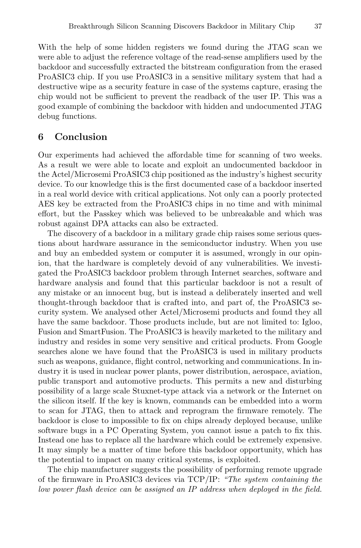With the help of some hidden registers we found during the JTAG scan we were able to adjust the reference voltage of the read-sense amplifiers used by the backdoor and successfully extracted the bitstream configuration from the erased ProASIC3 chip. If you use ProASIC3 in a sensitive military system that had a destructive wipe as a security feature in case of the systems capture, erasing the chip would not be sufficient to prevent the readback of the user IP. This was a good example of combining the backdoor with hidden and undocumented JTAG debug functions.

### **6 Conclusion**

Our experiments had achieved the affordable time for scanning of two weeks. As a result we were able to locate and exploit an undocumented backdoor in the Actel/Microsemi ProASIC3 chip positioned as the industry's highest security device. To our knowledge this is the first documented case of a backdoor inserted in a real world device with critical applications. Not only can a poorly protected AES key be extracted from the ProASIC3 chips in no time and with minimal effort, but the Passkey which was believed to be unbreakable and which was robust against DPA attacks can also be extracted.

The discovery of a backdoor in a military grade chip raises some serious questions about hardware assurance in the semiconductor industry. When you use and buy an embedded system or computer it is assumed, wrongly in our opinion, that the hardware is completely devoid of any vulnerabilities. We investigated the ProASIC3 backdoor problem through Internet searches, software and hardware analysis and found that this particular backdoor is not a result of any mistake or an innocent bug, but is instead a deliberately inserted and well thought-through backdoor that is crafted into, and part of, the ProASIC3 security system. We analysed other Actel/Microsemi products and found they all have the same backdoor. Those products include, but are not limited to: Igloo, Fusion and SmartFusion. The ProASIC3 is heavily marketed to the military and industry and resides in some very sensitive and critical products. From Google searches alone we have found that the ProASIC3 is used in military products such as weapons, guidance, flight control, networking and communications. In industry it is used in nuclear power plants, power distribution, aerospace, aviation, public transport and automotive products. This permits a new and disturbing possibility of a large scale Stuxnet-type attack via a network or the Internet on the silicon itself. If the key is known, commands can be embedded into a worm to scan for JTAG, then to attack and reprogram the firmware remotely. The backdoor is close to impossible to fix on chips already deployed because, unlike software bugs in a PC Operating System, you cannot issue a patch to fix this. Instead one has to replace all the hardware which could be extremely expensive. It may simply be a matter of time before this backdoor opportunity, which has the potential to impact on many critical systems, is exploited.

The chip manufacturer suggests the possibility of performing remote upgrade of the firmware in ProASIC3 devices via TCP/IP: *"The system containing the low power flash device can be assigned an IP address when deployed in the field.*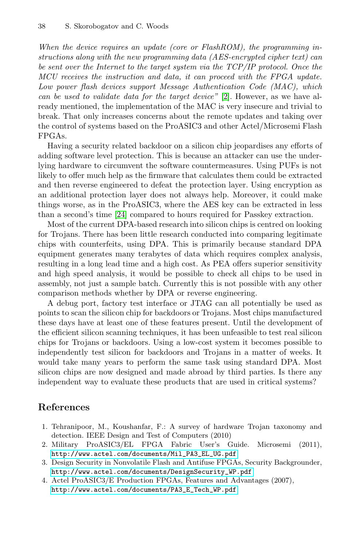*When the device requires an update (core or FlashROM), the programming instructions along with the new programming data (AES-encrypted cipher text) can be sent over the Internet to the target system via the TCP/IP protocol. Once the MCU receives the instruction and data, it can proceed with the FPGA update. Low power flash devices support Message Authentication Code (MAC), which can be used to validate data for the target device"* [2]. However, as we have already mentioned, the implementation of the MAC is very insecure and trivial to break. That only increases concerns about the remote updates and taking over the control of systems based on the ProASIC3 and other Actel/Microsemi Flash FP[GAs](#page-16-14).

Having a security related backdoor on a silicon chip jeopardises any efforts of adding software level protection. This is because an attacker can use the underlying hardware to circumvent the software countermeasures. Using PUFs is not likely to offer much help as the firmware that calculates them could be extracted and then reverse engineered to defeat the protection layer. Using encryption as an additional protection layer does not always help. Moreover, it could make things worse, as in the ProASIC3, where the AES key can be extracted in less than a second's time [24] compared to hours required for Passkey extraction.

Most of the current DPA-based research into silicon chips is centred on looking for Trojans. There has been little research conducted into comparing legitimate chips with counterfeits, using DPA. This is primarily because standard DPA equipment generates many terabytes of data which requires complex analysis, resulting in a long lead time and a high cost. As PEA offers superior sensitivity and high speed analysis, it would be possible to check all chips to be used in assembly, not just a sample batch. Currently this is not possible with any other comparison methods whether by DPA or reverse engineering.

<span id="page-15-1"></span><span id="page-15-0"></span>A debug port, factory test interface or JTAG can all potentially be used as points to scan the silicon chip for backdoors or Trojans. Most chips manufactured these days have at least one of these features present. Until the development of the efficient silicon scanning techniques, it has been unfeasible to test real silicon chips for Trojans or backdoors. Using a low-cost system it becomes possible to independently test silicon for backdoors and Trojans in a matter of weeks. It would take many years to perform the same task using standard DPA. Most silicon chips are now designed and made abroad by third parties. Is there any [independent](http://www.actel.com/documents/Mil_PA3_EL_UG.pdf) [way](http://www.actel.com/documents/Mil_PA3_EL_UG.pdf) [to](http://www.actel.com/documents/Mil_PA3_EL_UG.pdf) [evaluate](http://www.actel.com/documents/Mil_PA3_EL_UG.pdf) [these](http://www.actel.com/documents/Mil_PA3_EL_UG.pdf) [pro](http://www.actel.com/documents/Mil_PA3_EL_UG.pdf)ducts that are used in critical systems?

## **[References](http://www.actel.com/documents/PA3_E_Tech_WP.pdf)**

- 1. Tehranipoor, M., Koushanfar, F.: A survey of hardware Trojan taxonomy and detection. IEEE Design and Test of Computers (2010)
- 2. Military ProASIC3/EL FPGA Fabric User's Guide. Microsemi (2011), http://www.actel.com/documents/Mil\_PA3\_EL\_UG.pdf
- 3. Design Security in Nonvolatile Flash and Antifuse FPGAs, Security Backgrounder, http://www.actel.com/documents/DesignSecurity\_WP.pdf
- 4. Actel ProASIC3/E Production FPGAs, Features and Advantages (2007), http://www.actel.com/documents/PA3\_E\_Tech\_WP.pdf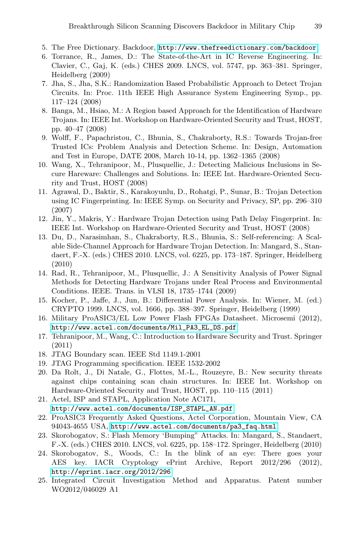- <span id="page-16-3"></span><span id="page-16-2"></span><span id="page-16-1"></span><span id="page-16-0"></span>5. The Free Dictionary. Backdoor, http://www.thefreedictionary.com/backdoor
- <span id="page-16-4"></span>6. Torrance, R., James, D.: The State-of-the-Art in IC Reverse Engineering. In: Clavier, C., Gaj, K. (eds.) CHES 2009. LNCS, vol. 5747, pp. 363–381. Springer, Heidelberg (2009)
- <span id="page-16-5"></span>7. Jha, S., Jha, S.K.: Randomization Based Probabilistic Approach to Detect Trojan Circuits. In: Proc. 11th IEEE High Assurance System Engineering Symp., pp. 117–124 (2008)
- 8. Banga, M., Hsiao, M.: A Region based Approach for the Identification of Hardware Trojans. In: IEEE Int. Workshop on Hardware-Oriented Security and Trust, HOST, pp. 40–47 (2008)
- <span id="page-16-6"></span>9. Wolff, F., Papachristou, C., Bhunia, S., Chakraborty, R.S.: Towards Trojan-free Trusted ICs: Problem Analysis and Detection Scheme. In: Design, Automation and Test in Europe, DATE 2008, March 10-14, pp. 1362–1365 (2008)
- <span id="page-16-11"></span>10. Wang, X., Tehranipoor, M., Plusquellic, J.: Detecting Malicious Inclusions in Secure Hareware: Challenges and Solutions. In: IEEE Int. Hardware-Oriented Security and Trust, HOST (2008)
- <span id="page-16-7"></span>11. Agrawal, D., Baktir, S., Karakoyunlu, D., Rohatgi, P., Sunar, B.: Trojan Detection using IC Fingerprinting. In: IEEE Symp. on Security and Privacy, SP, pp. 296–310 (2007)
- <span id="page-16-9"></span><span id="page-16-8"></span>12. Jin, Y., Makris, Y.: Hardware Trojan Detection using Path Delay Fingerprint. In: IEEE Int. Workshop on Hardware-Oriented Security and Trust, HOST (2008)
- <span id="page-16-10"></span>13. Du, D., Narasimhan, S., Chakraborty, R.S., Bhunia, S.: Self-referencing: A Scalable Side-Channel Approach for Hardware Trojan Detection. In: Mangard, S., Stan[daert, F.-X. \(eds.\) CHES 2010. LNCS](http://www.actel.com/documents/Mil_PA3_EL_DS.pdf), vol. 6225, pp. 173–187. Springer, Heidelberg (2010)
- <span id="page-16-13"></span><span id="page-16-12"></span>14. Rad, R., Tehranipoor, M., Plusquellic, J.: A Sensitivity Analysis of Power Signal Methods for Detecting Hardware Trojans under Real Process and Environmental Conditions. IEEE. Trans. in VLSI 18, 1735–1744 (2009)
- <span id="page-16-14"></span>15. Kocher, P., Jaffe, J., Jun, B.: Differential Power Analysis. In: Wiener, M. (ed.) CRYPTO 1999. LNCS, vol. 1666, pp. 388–397. Springer, Heidelberg (1999)
- 16. Military ProASIC3/EL Low Power Flash FPGAs Datasheet. Microsemi (2012), http://www.actel.com/documents/Mil\_PA3\_EL\_DS.pdf
- <span id="page-16-15"></span>[17. Tehranipoor, M., Wang, C.: Introduc](http://www.actel.com/documents/ISP_STAPL_AN.pdf)tion to Hardware Security and Trust. Springer (2011)
- 18[. JTAG Boundary scan. IEEE Std 1149.1-2001](http://www.actel.com/documents/pa3_faq.html)
- 19. JTAG Programming specification. IEEE 1532-2002
- 20. Da Rolt, J., Di Natale, G., Flottes, M.-L., Rouzeyre, B.: New security threats against chips containing scan chain structures. In: IEEE Int. Workshop on Hardware-Oriented Security and Trust, HOST, pp. 110–115 (2011)
- [21. Actel, ISP and ST](http://eprint.iacr.org/2012/296)APL, Application Note AC171, http://www.actel.com/documents/ISP\_STAPL\_AN.pdf
- 22. ProASIC3 Frequently Asked Questions, Actel Corporation, Mountain View, CA 94043-4655 USA, http://www.actel.com/documents/pa3\_faq.html
- 23. Skorobogatov, S.: Flash Memory 'Bumping" Attacks. In: Mangard, S., Standaert, F.-X. (eds.) CHES 2010. LNCS, vol. 6225, pp. 158–172. Springer, Heidelberg (2010)
- 24. Skorobogatov, S., Woods, C.: In the blink of an eye: There goes your AES key. IACR Cryptology ePrint Archive, Report 2012/296 (2012), http://eprint.iacr.org/2012/296
- 25. Integrated Circuit Investigation Method and Apparatus. Patent number WO2012/046029 A1